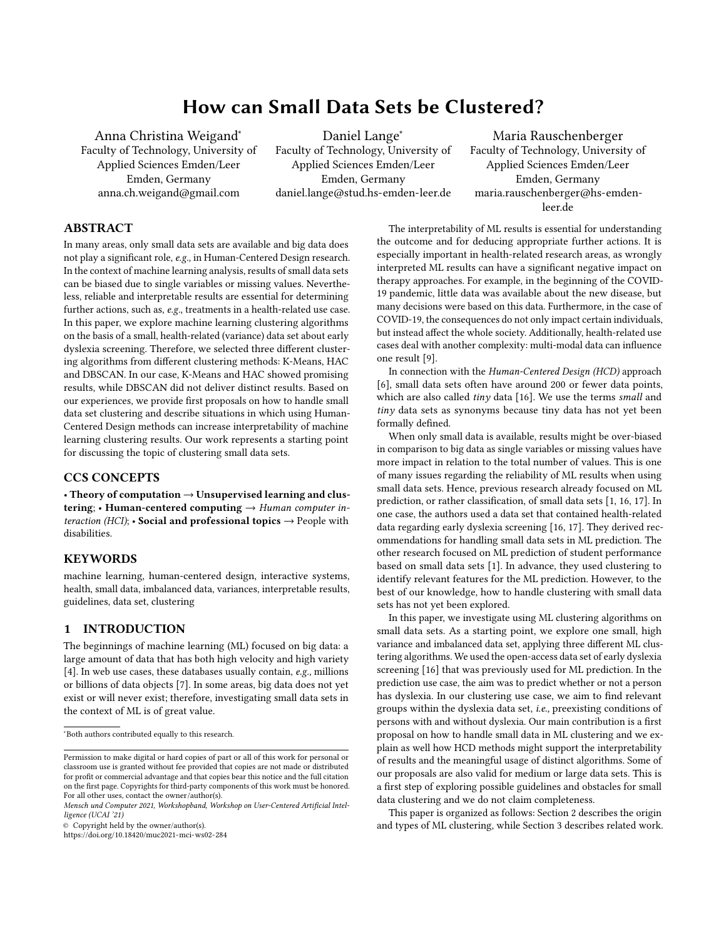# How can Small Data Sets be Clustered?

Anna Christina Weigand<sup>∗</sup> Faculty of Technology, University of Applied Sciences Emden/Leer Emden, Germany anna.ch.weigand@gmail.com

Daniel Lange<sup>∗</sup> Faculty of Technology, University of Applied Sciences Emden/Leer Emden, Germany daniel.lange@stud.hs-emden-leer.de

Maria Rauschenberger Faculty of Technology, University of Applied Sciences Emden/Leer Emden, Germany maria.rauschenberger@hs-emdenleer.de

# ABSTRACT

In many areas, only small data sets are available and big data does not play a significant role, e.g., in Human-Centered Design research. In the context of machine learning analysis, results of small data sets can be biased due to single variables or missing values. Nevertheless, reliable and interpretable results are essential for determining further actions, such as, e.g., treatments in a health-related use case. In this paper, we explore machine learning clustering algorithms on the basis of a small, health-related (variance) data set about early dyslexia screening. Therefore, we selected three different clustering algorithms from different clustering methods: K-Means, HAC and DBSCAN. In our case, K-Means and HAC showed promising results, while DBSCAN did not deliver distinct results. Based on our experiences, we provide first proposals on how to handle small data set clustering and describe situations in which using Human-Centered Design methods can increase interpretability of machine learning clustering results. Our work represents a starting point for discussing the topic of clustering small data sets.

#### CCS CONCEPTS

• Theory of computation → Unsupervised learning and clustering; • Human-centered computing  $\rightarrow$  Human computer interaction (HCI);  $\cdot$  Social and professional topics  $\rightarrow$  People with disabilities.

### **KEYWORDS**

machine learning, human-centered design, interactive systems, health, small data, imbalanced data, variances, interpretable results, guidelines, data set, clustering

### 1 INTRODUCTION

The beginnings of machine learning (ML) focused on big data: a large amount of data that has both high velocity and high variety [\[4\]](#page-5-0). In web use cases, these databases usually contain, e.g., millions or billions of data objects [\[7\]](#page-5-1). In some areas, big data does not yet exist or will never exist; therefore, investigating small data sets in the context of ML is of great value.

© Copyright held by the owner/author(s).

<https://doi.org/10.18420/muc2021-mci-ws02-284>

The interpretability of ML results is essential for understanding the outcome and for deducing appropriate further actions. It is especially important in health-related research areas, as wrongly interpreted ML results can have a significant negative impact on therapy approaches. For example, in the beginning of the COVID-19 pandemic, little data was available about the new disease, but many decisions were based on this data. Furthermore, in the case of COVID-19, the consequences do not only impact certain individuals, but instead affect the whole society. Additionally, health-related use cases deal with another complexity: multi-modal data can influence one result [\[9\]](#page-5-2).

In connection with the Human-Centered Design (HCD) approach [\[6\]](#page-5-3), small data sets often have around 200 or fewer data points, which are also called  $tiny$  data [\[16\]](#page-5-4). We use the terms small and tiny data sets as synonyms because tiny data has not yet been formally defined.

When only small data is available, results might be over-biased in comparison to big data as single variables or missing values have more impact in relation to the total number of values. This is one of many issues regarding the reliability of ML results when using small data sets. Hence, previous research already focused on ML prediction, or rather classification, of small data sets [\[1,](#page-4-0) [16,](#page-5-4) [17\]](#page-5-5). In one case, the authors used a data set that contained health-related data regarding early dyslexia screening [\[16,](#page-5-4) [17\]](#page-5-5). They derived recommendations for handling small data sets in ML prediction. The other research focused on ML prediction of student performance based on small data sets [\[1\]](#page-4-0). In advance, they used clustering to identify relevant features for the ML prediction. However, to the best of our knowledge, how to handle clustering with small data sets has not yet been explored.

In this paper, we investigate using ML clustering algorithms on small data sets. As a starting point, we explore one small, high variance and imbalanced data set, applying three different ML clustering algorithms. We used the open-access data set of early dyslexia screening [\[16\]](#page-5-4) that was previously used for ML prediction. In the prediction use case, the aim was to predict whether or not a person has dyslexia. In our clustering use case, we aim to find relevant groups within the dyslexia data set, i.e., preexisting conditions of persons with and without dyslexia. Our main contribution is a first proposal on how to handle small data in ML clustering and we explain as well how HCD methods might support the interpretability of results and the meaningful usage of distinct algorithms. Some of our proposals are also valid for medium or large data sets. This is a first step of exploring possible guidelines and obstacles for small data clustering and we do not claim completeness.

This paper is organized as follows: Section [2](#page-1-0) describes the origin and types of ML clustering, while Section [3](#page-2-0) describes related work.

<sup>∗</sup>Both authors contributed equally to this research.

Permission to make digital or hard copies of part or all of this work for personal or classroom use is granted without fee provided that copies are not made or distributed for profit or commercial advantage and that copies bear this notice and the full citation on the first page. Copyrights for third-party components of this work must be honored. For all other uses, contact the owner/author(s).

Mensch und Computer 2021, Workshopband, Workshop on User-Centered Artificial Intelligence (UCAI '21)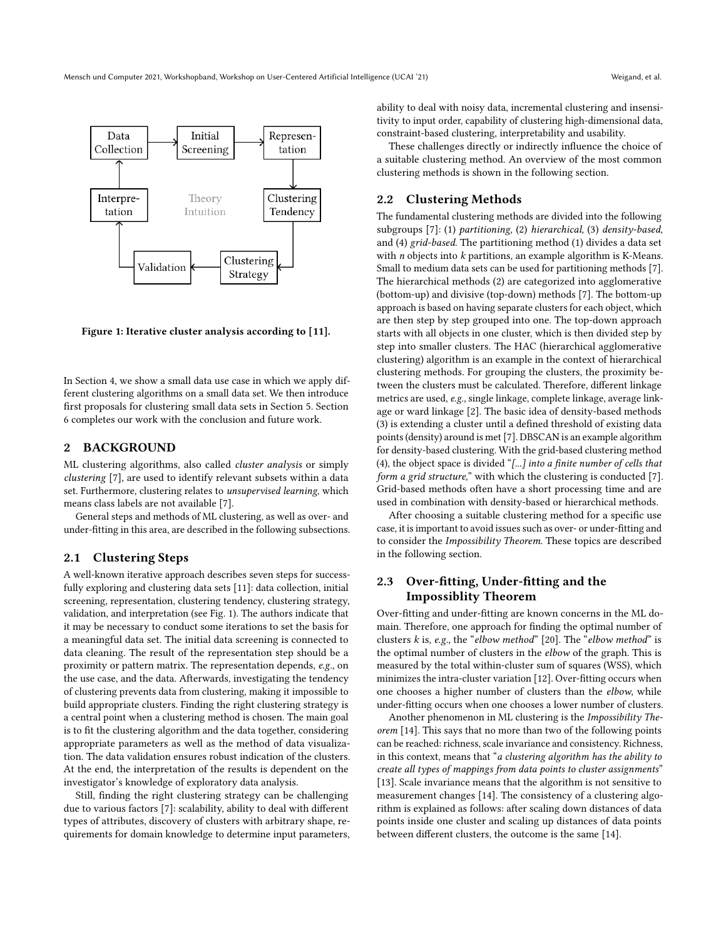<span id="page-1-1"></span>

Figure 1: Iterative cluster analysis according to [\[11\]](#page-5-6).

In Section [4,](#page-2-1) we show a small data use case in which we apply different clustering algorithms on a small data set. We then introduce first proposals for clustering small data sets in Section [5.](#page-3-0) Section [6](#page-4-1) completes our work with the conclusion and future work.

## <span id="page-1-0"></span>2 BACKGROUND

ML clustering algorithms, also called cluster analysis or simply clustering [\[7\]](#page-5-1), are used to identify relevant subsets within a data set. Furthermore, clustering relates to unsupervised learning, which means class labels are not available [\[7\]](#page-5-1).

General steps and methods of ML clustering, as well as over- and under-fitting in this area, are described in the following subsections.

#### 2.1 Clustering Steps

A well-known iterative approach describes seven steps for successfully exploring and clustering data sets [\[11\]](#page-5-6): data collection, initial screening, representation, clustering tendency, clustering strategy, validation, and interpretation (see Fig. [1\)](#page-1-1). The authors indicate that it may be necessary to conduct some iterations to set the basis for a meaningful data set. The initial data screening is connected to data cleaning. The result of the representation step should be a proximity or pattern matrix. The representation depends, e.g., on the use case, and the data. Afterwards, investigating the tendency of clustering prevents data from clustering, making it impossible to build appropriate clusters. Finding the right clustering strategy is a central point when a clustering method is chosen. The main goal is to fit the clustering algorithm and the data together, considering appropriate parameters as well as the method of data visualization. The data validation ensures robust indication of the clusters. At the end, the interpretation of the results is dependent on the investigator's knowledge of exploratory data analysis.

Still, finding the right clustering strategy can be challenging due to various factors [\[7\]](#page-5-1): scalability, ability to deal with different types of attributes, discovery of clusters with arbitrary shape, requirements for domain knowledge to determine input parameters, ability to deal with noisy data, incremental clustering and insensitivity to input order, capability of clustering high-dimensional data, constraint-based clustering, interpretability and usability.

These challenges directly or indirectly influence the choice of a suitable clustering method. An overview of the most common clustering methods is shown in the following section.

#### 2.2 Clustering Methods

The fundamental clustering methods are divided into the following subgroups [\[7\]](#page-5-1): (1) partitioning, (2) hierarchical, (3) density-based, and (4) grid-based. The partitioning method (1) divides a data set with  $n$  objects into  $k$  partitions, an example algorithm is K-Means. Small to medium data sets can be used for partitioning methods [\[7\]](#page-5-1). The hierarchical methods (2) are categorized into agglomerative (bottom-up) and divisive (top-down) methods [\[7\]](#page-5-1). The bottom-up approach is based on having separate clusters for each object, which are then step by step grouped into one. The top-down approach starts with all objects in one cluster, which is then divided step by step into smaller clusters. The HAC (hierarchical agglomerative clustering) algorithm is an example in the context of hierarchical clustering methods. For grouping the clusters, the proximity between the clusters must be calculated. Therefore, different linkage metrics are used, e.g., single linkage, complete linkage, average linkage or ward linkage [\[2\]](#page-4-2). The basic idea of density-based methods (3) is extending a cluster until a defined threshold of existing data points (density) around is met [\[7\]](#page-5-1). DBSCAN is an example algorithm for density-based clustering. With the grid-based clustering method (4), the object space is divided "[...] into a finite number of cells that form a grid structure," with which the clustering is conducted [\[7\]](#page-5-1). Grid-based methods often have a short processing time and are used in combination with density-based or hierarchical methods.

After choosing a suitable clustering method for a specific use case, it is important to avoid issues such as over- or under-fitting and to consider the Impossibility Theorem. These topics are described in the following section.

# 2.3 Over-fitting, Under-fitting and the Impossiblity Theorem

Over-fitting and under-fitting are known concerns in the ML domain. Therefore, one approach for finding the optimal number of clusters  $k$  is, e.g., the "elbow method" [\[20\]](#page-5-7). The "elbow method" is the optimal number of clusters in the elbow of the graph. This is measured by the total within-cluster sum of squares (WSS), which minimizes the intra-cluster variation [\[12\]](#page-5-8). Over-fitting occurs when one chooses a higher number of clusters than the elbow, while under-fitting occurs when one chooses a lower number of clusters.

Another phenomenon in ML clustering is the Impossibility Theorem [\[14\]](#page-5-9). This says that no more than two of the following points can be reached: richness, scale invariance and consistency. Richness, in this context, means that "a clustering algorithm has the ability to create all types of mappings from data points to cluster assignments" [\[13\]](#page-5-10). Scale invariance means that the algorithm is not sensitive to measurement changes [\[14\]](#page-5-9). The consistency of a clustering algorithm is explained as follows: after scaling down distances of data points inside one cluster and scaling up distances of data points between different clusters, the outcome is the same [\[14\]](#page-5-9).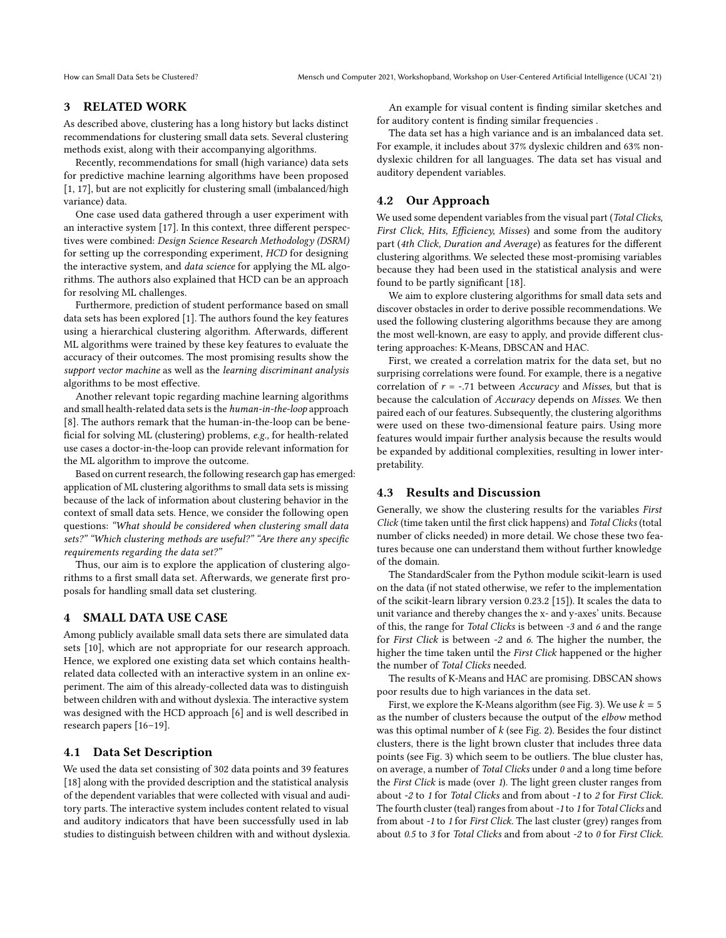### <span id="page-2-0"></span>3 RELATED WORK

As described above, clustering has a long history but lacks distinct recommendations for clustering small data sets. Several clustering methods exist, along with their accompanying algorithms.

Recently, recommendations for small (high variance) data sets for predictive machine learning algorithms have been proposed [\[1,](#page-4-0) [17\]](#page-5-5), but are not explicitly for clustering small (imbalanced/high variance) data.

One case used data gathered through a user experiment with an interactive system [\[17\]](#page-5-5). In this context, three different perspectives were combined: Design Science Research Methodology (DSRM) for setting up the corresponding experiment, HCD for designing the interactive system, and data science for applying the ML algorithms. The authors also explained that HCD can be an approach for resolving ML challenges.

Furthermore, prediction of student performance based on small data sets has been explored [\[1\]](#page-4-0). The authors found the key features using a hierarchical clustering algorithm. Afterwards, different ML algorithms were trained by these key features to evaluate the accuracy of their outcomes. The most promising results show the support vector machine as well as the learning discriminant analysis algorithms to be most effective.

Another relevant topic regarding machine learning algorithms and small health-related data sets is the human-in-the-loop approach [\[8\]](#page-5-11). The authors remark that the human-in-the-loop can be beneficial for solving ML (clustering) problems, e.g., for health-related use cases a doctor-in-the-loop can provide relevant information for the ML algorithm to improve the outcome.

Based on current research, the following research gap has emerged: application of ML clustering algorithms to small data sets is missing because of the lack of information about clustering behavior in the context of small data sets. Hence, we consider the following open questions: "What should be considered when clustering small data sets?" "Which clustering methods are useful?" "Are there any specific requirements regarding the data set?"

Thus, our aim is to explore the application of clustering algorithms to a first small data set. Afterwards, we generate first proposals for handling small data set clustering.

#### <span id="page-2-1"></span>4 SMALL DATA USE CASE

Among publicly available small data sets there are simulated data sets [\[10\]](#page-5-12), which are not appropriate for our research approach. Hence, we explored one existing data set which contains healthrelated data collected with an interactive system in an online experiment. The aim of this already-collected data was to distinguish between children with and without dyslexia. The interactive system was designed with the HCD approach [\[6\]](#page-5-3) and is well described in research papers [\[16–](#page-5-4)[19\]](#page-5-13).

#### 4.1 Data Set Description

We used the data set consisting of 302 data points and 39 features [\[18\]](#page-5-14) along with the provided description and the statistical analysis of the dependent variables that were collected with visual and auditory parts. The interactive system includes content related to visual and auditory indicators that have been successfully used in lab studies to distinguish between children with and without dyslexia.

An example for visual content is finding similar sketches and for auditory content is finding similar frequencies .

The data set has a high variance and is an imbalanced data set. For example, it includes about 37% dyslexic children and 63% nondyslexic children for all languages. The data set has visual and auditory dependent variables.

## 4.2 Our Approach

We used some dependent variables from the visual part (Total Clicks, First Click, Hits, Efficiency, Misses) and some from the auditory part (4th Click, Duration and Average) as features for the different clustering algorithms. We selected these most-promising variables because they had been used in the statistical analysis and were found to be partly significant [\[18\]](#page-5-14).

We aim to explore clustering algorithms for small data sets and discover obstacles in order to derive possible recommendations. We used the following clustering algorithms because they are among the most well-known, are easy to apply, and provide different clustering approaches: K-Means, DBSCAN and HAC.

First, we created a correlation matrix for the data set, but no surprising correlations were found. For example, there is a negative correlation of  $r = -.71$  between Accuracy and Misses, but that is because the calculation of Accuracy depends on Misses. We then paired each of our features. Subsequently, the clustering algorithms were used on these two-dimensional feature pairs. Using more features would impair further analysis because the results would be expanded by additional complexities, resulting in lower interpretability.

#### 4.3 Results and Discussion

Generally, we show the clustering results for the variables First Click (time taken until the first click happens) and Total Clicks (total number of clicks needed) in more detail. We chose these two features because one can understand them without further knowledge of the domain.

The StandardScaler from the Python module scikit-learn is used on the data (if not stated otherwise, we refer to the implementation of the scikit-learn library version 0.23.2 [\[15\]](#page-5-15)). It scales the data to unit variance and thereby changes the x- and y-axes' units. Because of this, the range for Total Clicks is between -3 and 6 and the range for First Click is between -2 and 6. The higher the number, the higher the time taken until the First Click happened or the higher the number of Total Clicks needed.

The results of K-Means and HAC are promising. DBSCAN shows poor results due to high variances in the data set.

First, we explore the K-Means algorithm (see Fig. [3\)](#page-3-1). We use  $k = 5$ as the number of clusters because the output of the elbow method was this optimal number of  $k$  (see Fig. [2\)](#page-3-2). Besides the four distinct clusters, there is the light brown cluster that includes three data points (see Fig. [3\)](#page-3-1) which seem to be outliers. The blue cluster has, on average, a number of Total Clicks under 0 and a long time before the First Click is made (over 1). The light green cluster ranges from about -2 to 1 for Total Clicks and from about -1 to 2 for First Click. The fourth cluster (teal) ranges from about -1 to 1 for Total Clicks and from about -1 to 1 for First Click. The last cluster (grey) ranges from about 0.5 to 3 for Total Clicks and from about -2 to 0 for First Click.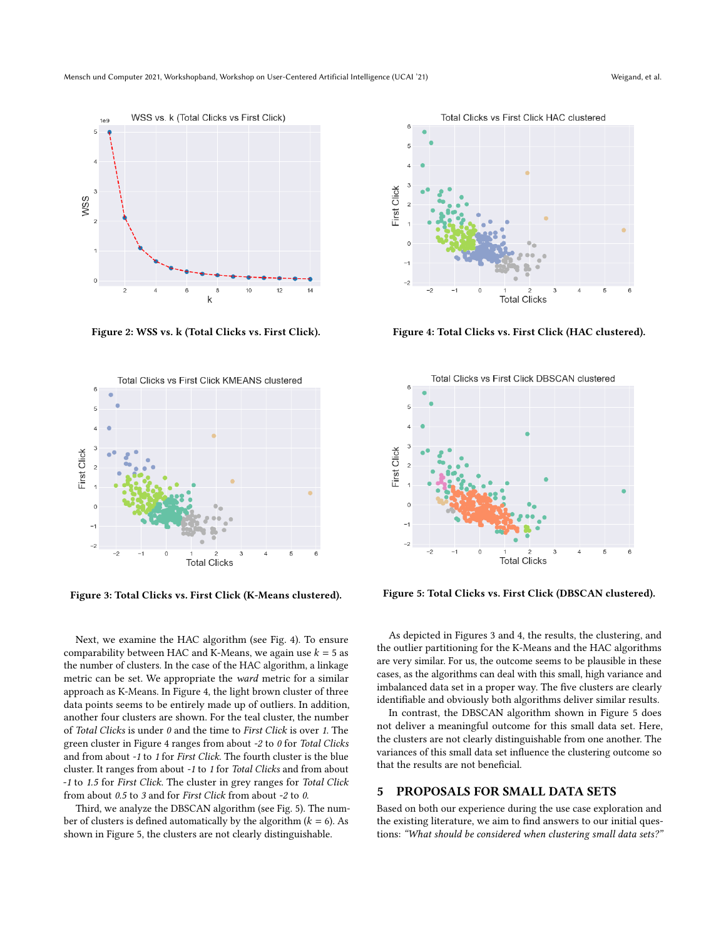<span id="page-3-2"></span>

Figure 2: WSS vs. k (Total Clicks vs. First Click).

<span id="page-3-1"></span>

Figure 3: Total Clicks vs. First Click (K-Means clustered).

Next, we examine the HAC algorithm (see Fig. [4\)](#page-3-3). To ensure comparability between HAC and K-Means, we again use  $k = 5$  as the number of clusters. In the case of the HAC algorithm, a linkage metric can be set. We appropriate the ward metric for a similar approach as K-Means. In Figure [4,](#page-3-3) the light brown cluster of three data points seems to be entirely made up of outliers. In addition, another four clusters are shown. For the teal cluster, the number of Total Clicks is under 0 and the time to First Click is over 1. The green cluster in Figure [4](#page-3-3) ranges from about -2 to 0 for Total Clicks and from about -1 to 1 for First Click. The fourth cluster is the blue cluster. It ranges from about -1 to 1 for Total Clicks and from about -1 to 1.5 for First Click. The cluster in grey ranges for Total Click from about 0.5 to 3 and for First Click from about -2 to 0.

Third, we analyze the DBSCAN algorithm (see Fig. [5\)](#page-3-4). The number of clusters is defined automatically by the algorithm  $(k = 6)$ . As shown in Figure [5,](#page-3-4) the clusters are not clearly distinguishable.

<span id="page-3-3"></span>

Figure 4: Total Clicks vs. First Click (HAC clustered).

<span id="page-3-4"></span>

Figure 5: Total Clicks vs. First Click (DBSCAN clustered).

As depicted in Figures [3](#page-3-1) and [4,](#page-3-3) the results, the clustering, and the outlier partitioning for the K-Means and the HAC algorithms are very similar. For us, the outcome seems to be plausible in these cases, as the algorithms can deal with this small, high variance and imbalanced data set in a proper way. The five clusters are clearly identifiable and obviously both algorithms deliver similar results.

In contrast, the DBSCAN algorithm shown in Figure [5](#page-3-4) does not deliver a meaningful outcome for this small data set. Here, the clusters are not clearly distinguishable from one another. The variances of this small data set influence the clustering outcome so that the results are not beneficial.

#### <span id="page-3-0"></span>5 PROPOSALS FOR SMALL DATA SETS

Based on both our experience during the use case exploration and the existing literature, we aim to find answers to our initial questions: "What should be considered when clustering small data sets?"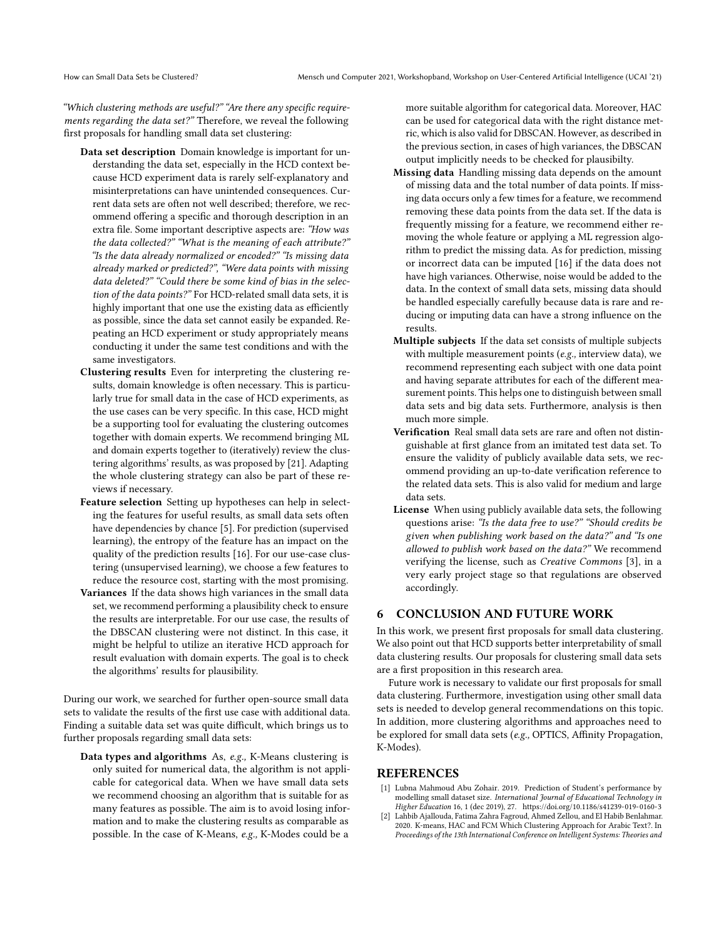"Which clustering methods are useful?" "Are there any specific requirements regarding the data set?" Therefore, we reveal the following first proposals for handling small data set clustering:

- Data set description Domain knowledge is important for understanding the data set, especially in the HCD context because HCD experiment data is rarely self-explanatory and misinterpretations can have unintended consequences. Current data sets are often not well described; therefore, we recommend offering a specific and thorough description in an extra file. Some important descriptive aspects are: "How was the data collected?" "What is the meaning of each attribute?" "Is the data already normalized or encoded?" "Is missing data already marked or predicted?", "Were data points with missing data deleted?" "Could there be some kind of bias in the selection of the data points?" For HCD-related small data sets, it is highly important that one use the existing data as efficiently as possible, since the data set cannot easily be expanded. Repeating an HCD experiment or study appropriately means conducting it under the same test conditions and with the same investigators.
- Clustering results Even for interpreting the clustering results, domain knowledge is often necessary. This is particularly true for small data in the case of HCD experiments, as the use cases can be very specific. In this case, HCD might be a supporting tool for evaluating the clustering outcomes together with domain experts. We recommend bringing ML and domain experts together to (iteratively) review the clustering algorithms' results, as was proposed by [\[21\]](#page-5-16). Adapting the whole clustering strategy can also be part of these reviews if necessary.
- Feature selection Setting up hypotheses can help in selecting the features for useful results, as small data sets often have dependencies by chance [\[5\]](#page-5-17). For prediction (supervised learning), the entropy of the feature has an impact on the quality of the prediction results [\[16\]](#page-5-4). For our use-case clustering (unsupervised learning), we choose a few features to reduce the resource cost, starting with the most promising.
- Variances If the data shows high variances in the small data set, we recommend performing a plausibility check to ensure the results are interpretable. For our use case, the results of the DBSCAN clustering were not distinct. In this case, it might be helpful to utilize an iterative HCD approach for result evaluation with domain experts. The goal is to check the algorithms' results for plausibility.

During our work, we searched for further open-source small data sets to validate the results of the first use case with additional data. Finding a suitable data set was quite difficult, which brings us to further proposals regarding small data sets:

Data types and algorithms As, e.g., K-Means clustering is only suited for numerical data, the algorithm is not applicable for categorical data. When we have small data sets we recommend choosing an algorithm that is suitable for as many features as possible. The aim is to avoid losing information and to make the clustering results as comparable as possible. In the case of K-Means, e.g., K-Modes could be a

more suitable algorithm for categorical data. Moreover, HAC can be used for categorical data with the right distance metric, which is also valid for DBSCAN. However, as described in the previous section, in cases of high variances, the DBSCAN output implicitly needs to be checked for plausibilty.

- Missing data Handling missing data depends on the amount of missing data and the total number of data points. If missing data occurs only a few times for a feature, we recommend removing these data points from the data set. If the data is frequently missing for a feature, we recommend either removing the whole feature or applying a ML regression algorithm to predict the missing data. As for prediction, missing or incorrect data can be imputed [\[16\]](#page-5-4) if the data does not have high variances. Otherwise, noise would be added to the data. In the context of small data sets, missing data should be handled especially carefully because data is rare and reducing or imputing data can have a strong influence on the results.
- Multiple subjects If the data set consists of multiple subjects with multiple measurement points (e.g., interview data), we recommend representing each subject with one data point and having separate attributes for each of the different measurement points. This helps one to distinguish between small data sets and big data sets. Furthermore, analysis is then much more simple.
- Verification Real small data sets are rare and often not distinguishable at first glance from an imitated test data set. To ensure the validity of publicly available data sets, we recommend providing an up-to-date verification reference to the related data sets. This is also valid for medium and large data sets.
- License When using publicly available data sets, the following questions arise: "Is the data free to use?" "Should credits be given when publishing work based on the data?" and "Is one allowed to publish work based on the data?" We recommend verifying the license, such as Creative Commons [\[3\]](#page-5-18), in a very early project stage so that regulations are observed accordingly.

### <span id="page-4-1"></span>6 CONCLUSION AND FUTURE WORK

In this work, we present first proposals for small data clustering. We also point out that HCD supports better interpretability of small data clustering results. Our proposals for clustering small data sets are a first proposition in this research area.

Future work is necessary to validate our first proposals for small data clustering. Furthermore, investigation using other small data sets is needed to develop general recommendations on this topic. In addition, more clustering algorithms and approaches need to be explored for small data sets (e.g., OPTICS, Affinity Propagation, K-Modes).

#### REFERENCES

- <span id="page-4-0"></span>[1] Lubna Mahmoud Abu Zohair. 2019. Prediction of Student's performance by modelling small dataset size. International Journal of Educational Technology in Higher Education 16, 1 (dec 2019), 27.<https://doi.org/10.1186/s41239-019-0160-3>
- <span id="page-4-2"></span>[2] Lahbib Ajallouda, Fatima Zahra Fagroud, Ahmed Zellou, and El Habib Benlahmar. 2020. K-means, HAC and FCM Which Clustering Approach for Arabic Text?. In Proceedings of the 13th International Conference on Intelligent Systems: Theories and